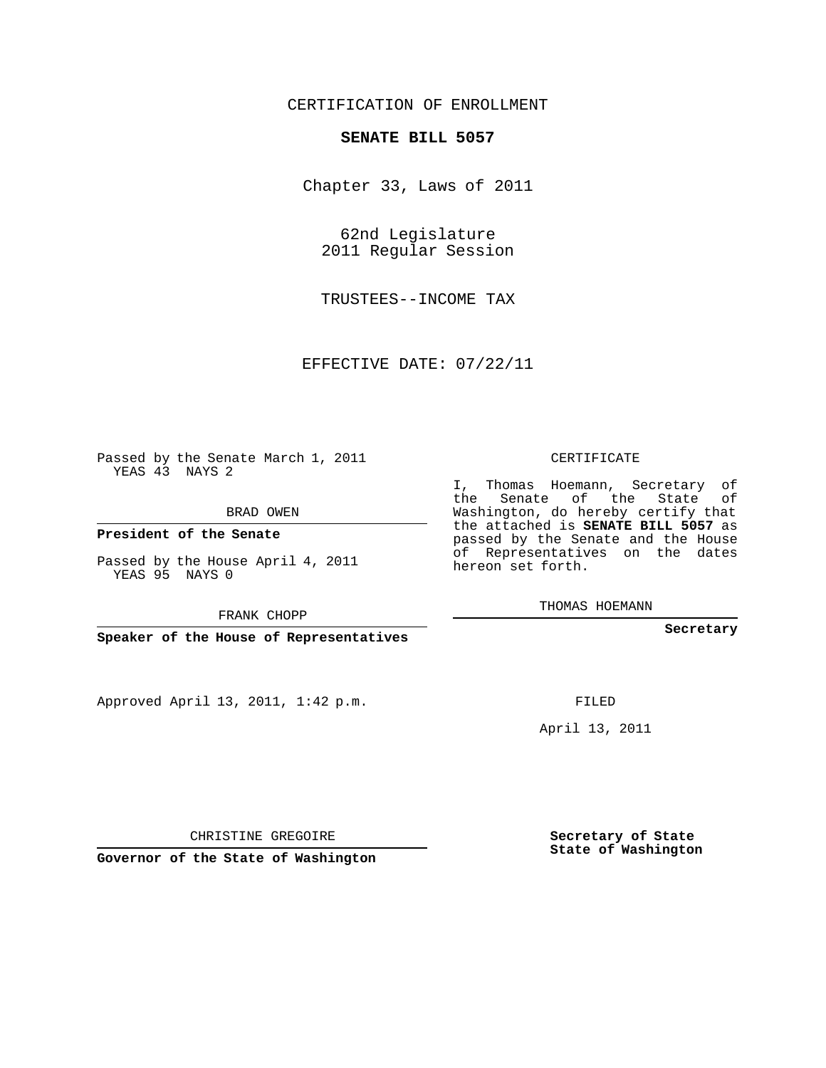## CERTIFICATION OF ENROLLMENT

## **SENATE BILL 5057**

Chapter 33, Laws of 2011

62nd Legislature 2011 Regular Session

TRUSTEES--INCOME TAX

EFFECTIVE DATE: 07/22/11

Passed by the Senate March 1, 2011 YEAS 43 NAYS 2

BRAD OWEN

**President of the Senate**

Passed by the House April 4, 2011 YEAS 95 NAYS 0

FRANK CHOPP

**Speaker of the House of Representatives**

Approved April 13, 2011, 1:42 p.m.

CERTIFICATE

I, Thomas Hoemann, Secretary of the Senate of the State of Washington, do hereby certify that the attached is **SENATE BILL 5057** as passed by the Senate and the House of Representatives on the dates hereon set forth.

THOMAS HOEMANN

**Secretary**

FILED

April 13, 2011

CHRISTINE GREGOIRE

**Governor of the State of Washington**

**Secretary of State State of Washington**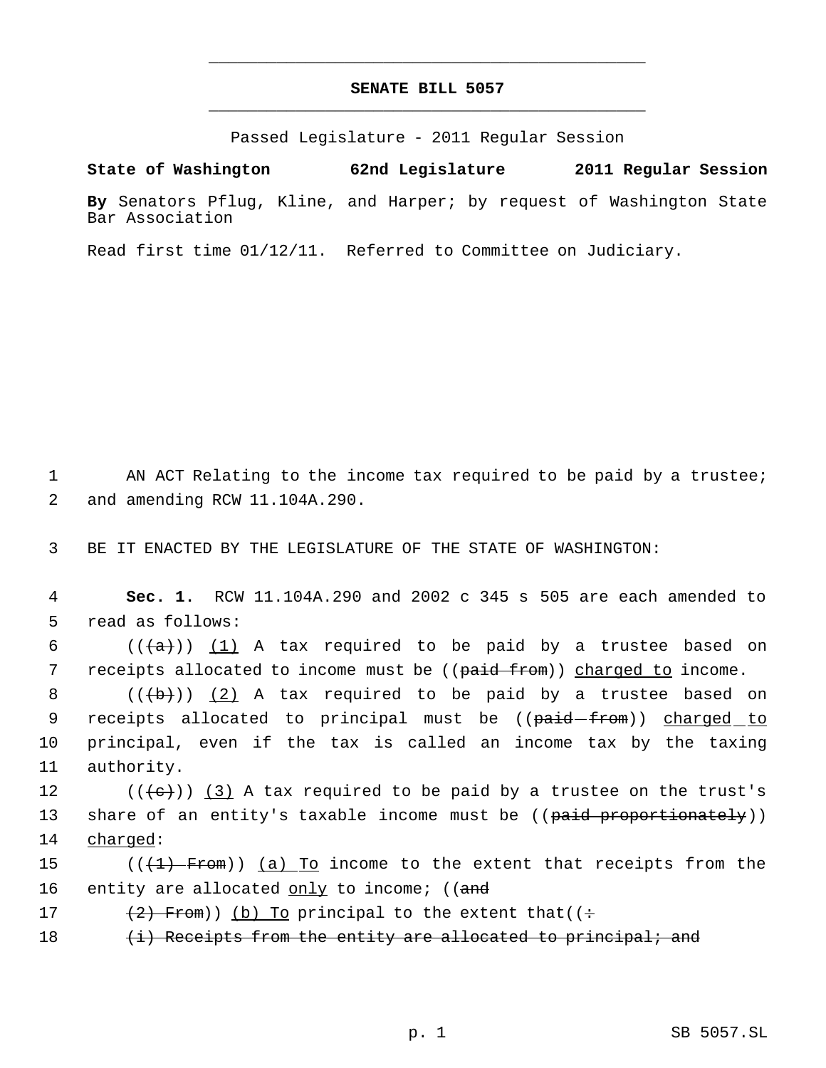## **SENATE BILL 5057** \_\_\_\_\_\_\_\_\_\_\_\_\_\_\_\_\_\_\_\_\_\_\_\_\_\_\_\_\_\_\_\_\_\_\_\_\_\_\_\_\_\_\_\_\_

\_\_\_\_\_\_\_\_\_\_\_\_\_\_\_\_\_\_\_\_\_\_\_\_\_\_\_\_\_\_\_\_\_\_\_\_\_\_\_\_\_\_\_\_\_

Passed Legislature - 2011 Regular Session

**By** Senators Pflug, Kline, and Harper; by request of Washington State Bar Association

**State of Washington 62nd Legislature 2011 Regular Session**

Read first time 01/12/11. Referred to Committee on Judiciary.

1 AN ACT Relating to the income tax required to be paid by a trustee; 2 and amending RCW 11.104A.290.

3 BE IT ENACTED BY THE LEGISLATURE OF THE STATE OF WASHINGTON:

| 4  | <b>Sec. 1.</b> RCW 11.104A.290 and 2002 c 345 s 505 are each amended to            |
|----|------------------------------------------------------------------------------------|
| 5  | read as follows:                                                                   |
| 6  | $((+a))$ (1) A tax required to be paid by a trustee based on                       |
| 7  | receipts allocated to income must be ((paid from)) charged to income.              |
| 8  | $((+b))$ (2) A tax required to be paid by a trustee based on                       |
| 9  | receipts allocated to principal must be ((paid-from)) charged to                   |
| 10 | principal, even if the tax is called an income tax by the taxing                   |
| 11 | authority.                                                                         |
| 12 | $((\langle e \rangle) )$ (3) A tax required to be paid by a trustee on the trust's |
| 13 | share of an entity's taxable income must be $((\text{point} + \text{product}))$    |
| 14 | charged:                                                                           |
| 15 | $((+1)$ -From)) (a) To income to the extent that receipts from the                 |
| 16 | entity are allocated only to income; ((and                                         |
| 17 | $\frac{2}{2}$ From) (b) To principal to the extent that ( $\div$                   |
| 18 | (i) Receipts from the entity are allocated to principal; and                       |